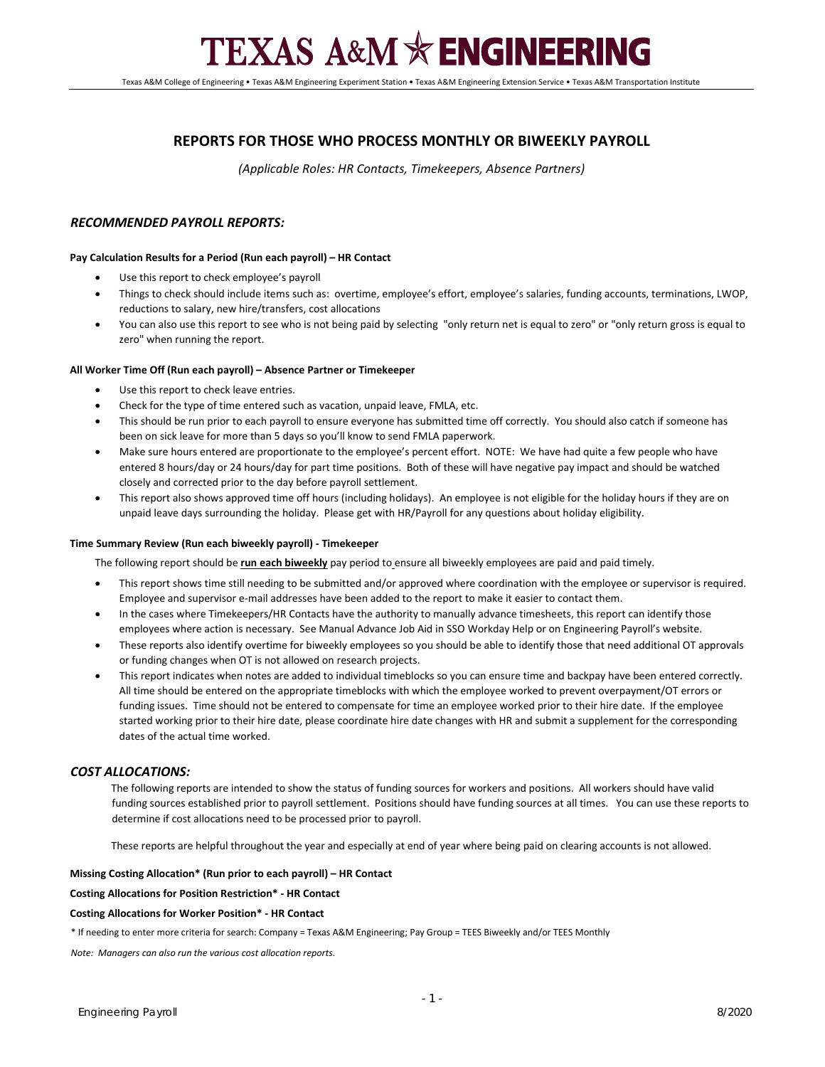# **TEXAS A&M \* ENGINEERING**

Texas A&M College of Engineering • Texas A&M Engineering Experiment Station • Texas A&M Engineering Extension Service • Texas A&M Transportation Institute

## **REPORTS FOR THOSE WHO PROCESS MONTHLY OR BIWEEKLY PAYROLL**

*(Applicable Roles: HR Contacts, Timekeepers, Absence Partners)*

## *RECOMMENDED PAYROLL REPORTS:*

## **Pay Calculation Results for a Period (Run each payroll) – HR Contact**

- Use this report to check employee's payroll
- Things to check should include items such as: overtime, employee's effort, employee's salaries, funding accounts, terminations, LWOP, reductions to salary, new hire/transfers, cost allocations
- You can also use this report to see who is not being paid by selecting "only return net is equal to zero" or "only return gross is equal to zero" when running the report.

## **All Worker Time Off (Run each payroll) – Absence Partner or Timekeeper**

- Use this report to check leave entries.
- Check for the type of time entered such as vacation, unpaid leave, FMLA, etc.
- This should be run prior to each payroll to ensure everyone has submitted time off correctly. You should also catch if someone has been on sick leave for more than 5 days so you'll know to send FMLA paperwork.
- Make sure hours entered are proportionate to the employee's percent effort. NOTE: We have had quite a few people who have entered 8 hours/day or 24 hours/day for part time positions. Both of these will have negative pay impact and should be watched closely and corrected prior to the day before payroll settlement.
- This report also shows approved time off hours (including holidays). An employee is not eligible for the holiday hours if they are on unpaid leave days surrounding the holiday. Please get with HR/Payroll for any questions about holiday eligibility.

### **Time Summary Review (Run each biweekly payroll) - Timekeeper**

The following report should be **run each biweekly** pay period to ensure all biweekly employees are paid and paid timely.

- This report shows time still needing to be submitted and/or approved where coordination with the employee or supervisor is required. Employee and supervisor e-mail addresses have been added to the report to make it easier to contact them.
- In the cases where Timekeepers/HR Contacts have the authority to manually advance timesheets, this report can identify those employees where action is necessary. See Manual Advance Job Aid in SSO Workday Help or on Engineering Payroll's website.
- These reports also identify overtime for biweekly employees so you should be able to identify those that need additional OT approvals or funding changes when OT is not allowed on research projects.
- This report indicates when notes are added to individual timeblocks so you can ensure time and backpay have been entered correctly. All time should be entered on the appropriate timeblocks with which the employee worked to prevent overpayment/OT errors or funding issues. Time should not be entered to compensate for time an employee worked prior to their hire date. If the employee started working prior to their hire date, please coordinate hire date changes with HR and submit a supplement for the corresponding dates of the actual time worked.

## *COST ALLOCATIONS:*

The following reports are intended to show the status of funding sources for workers and positions. All workers should have valid funding sources established prior to payroll settlement. Positions should have funding sources at all times. You can use these reports to determine if cost allocations need to be processed prior to payroll.

These reports are helpful throughout the year and especially at end of year where being paid on clearing accounts is not allowed.

### **Missing Costing Allocation\* (Run prior to each payroll) – HR Contact**

### **Costing Allocations for Position Restriction\* - HR Contact**

### **Costing Allocations for Worker Position\* - HR Contact**

\* If needing to enter more criteria for search: Company = Texas A&M Engineering; Pay Group = TEES Biweekly and/or TEES Monthly

*Note: Managers can also run the various cost allocation reports.*